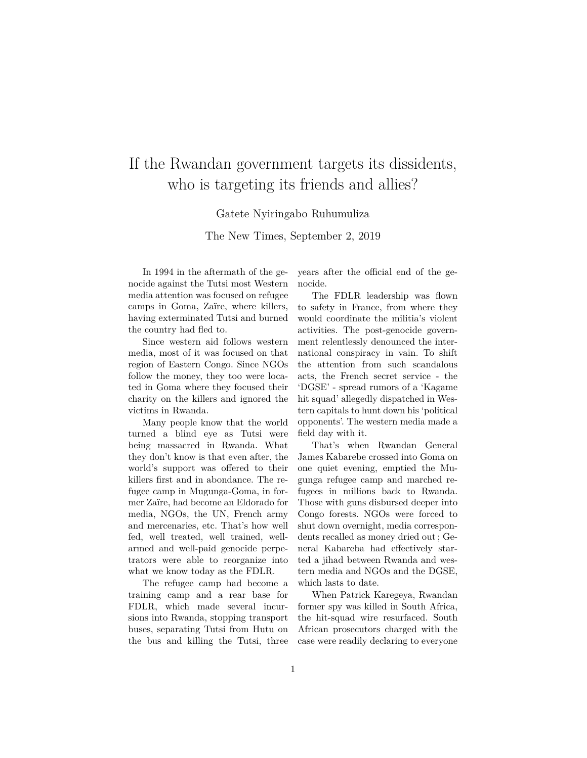## If the Rwandan government targets its dissidents, who is targeting its friends and allies?

## Gatete Nyiringabo Ruhumuliza

The New Times, September 2, 2019

In 1994 in the aftermath of the genocide against the Tutsi most Western media attention was focused on refugee camps in Goma, Zaïre, where killers, having exterminated Tutsi and burned the country had fled to.

Since western aid follows western media, most of it was focused on that region of Eastern Congo. Since NGOs follow the money, they too were located in Goma where they focused their charity on the killers and ignored the victims in Rwanda.

Many people know that the world turned a blind eye as Tutsi were being massacred in Rwanda. What they don't know is that even after, the world's support was offered to their killers first and in abondance. The refugee camp in Mugunga-Goma, in former Zaïre, had become an Eldorado for media, NGOs, the UN, French army and mercenaries, etc. That's how well fed, well treated, well trained, wellarmed and well-paid genocide perpetrators were able to reorganize into what we know today as the FDLR.

The refugee camp had become a training camp and a rear base for FDLR, which made several incursions into Rwanda, stopping transport buses, separating Tutsi from Hutu on the bus and killing the Tutsi, three years after the official end of the genocide.

The FDLR leadership was flown to safety in France, from where they would coordinate the militia's violent activities. The post-genocide government relentlessly denounced the international conspiracy in vain. To shift the attention from such scandalous acts, the French secret service - the 'DGSE' - spread rumors of a 'Kagame hit squad' allegedly dispatched in Western capitals to hunt down his 'political opponents'. The western media made a field day with it.

That's when Rwandan General James Kabarebe crossed into Goma on one quiet evening, emptied the Mugunga refugee camp and marched refugees in millions back to Rwanda. Those with guns disbursed deeper into Congo forests. NGOs were forced to shut down overnight, media correspondents recalled as money dried out ; General Kabareba had effectively started a jihad between Rwanda and western media and NGOs and the DGSE, which lasts to date.

When Patrick Karegeya, Rwandan former spy was killed in South Africa, the hit-squad wire resurfaced. South African prosecutors charged with the case were readily declaring to everyone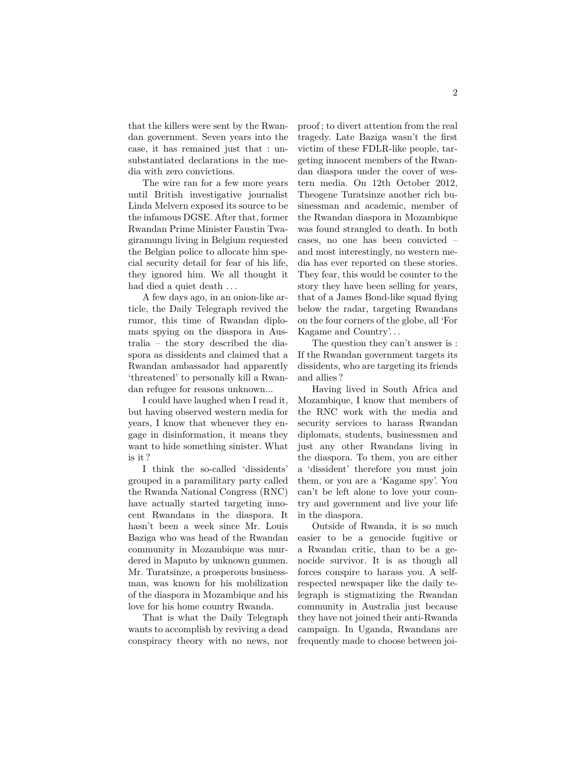that the killers were sent by the Rwandan government. Seven years into the case, it has remained just that : unsubstantiated declarations in the media with zero convictions.

The wire ran for a few more years until British investigative journalist Linda Melvern exposed its source to be the infamous DGSE. After that, former Rwandan Prime Minister Faustin Twagiramungu living in Belgium requested the Belgian police to allocate him special security detail for fear of his life, they ignored him. We all thought it had died a quiet death ...

A few days ago, in an onion-like article, the Daily Telegraph revived the rumor, this time of Rwandan diplomats spying on the diaspora in Australia – the story described the diaspora as dissidents and claimed that a Rwandan ambassador had apparently 'threatened' to personally kill a Rwandan refugee for reasons unknown...

I could have laughed when I read it, but having observed western media for years, I know that whenever they engage in disinformation, it means they want to hide something sinister. What is it ?

I think the so-called 'dissidents' grouped in a paramilitary party called the Rwanda National Congress (RNC) have actually started targeting innocent Rwandans in the diaspora. It hasn't been a week since Mr. Louis Baziga who was head of the Rwandan community in Mozambique was murdered in Maputo by unknown gunmen. Mr. Turatsinze, a prosperous businessman, was known for his mobilization of the diaspora in Mozambique and his love for his home country Rwanda.

That is what the Daily Telegraph wants to accomplish by reviving a dead conspiracy theory with no news, nor proof ; to divert attention from the real tragedy. Late Baziga wasn't the first victim of these FDLR-like people, targeting innocent members of the Rwandan diaspora under the cover of western media. On 12th October 2012, Theogene Turatsinze another rich businessman and academic, member of the Rwandan diaspora in Mozambique was found strangled to death. In both cases, no one has been convicted – and most interestingly, no western media has ever reported on these stories. They fear, this would be counter to the story they have been selling for years, that of a James Bond-like squad flying below the radar, targeting Rwandans on the four corners of the globe, all 'For Kagame and Country'. . .

The question they can't answer is : If the Rwandan government targets its dissidents, who are targeting its friends and allies ?

Having lived in South Africa and Mozambique, I know that members of the RNC work with the media and security services to harass Rwandan diplomats, students, businessmen and just any other Rwandans living in the diaspora. To them, you are either a 'dissident' therefore you must join them, or you are a 'Kagame spy'. You can't be left alone to love your country and government and live your life in the diaspora.

Outside of Rwanda, it is so much easier to be a genocide fugitive or a Rwandan critic, than to be a genocide survivor. It is as though all forces conspire to harass you. A selfrespected newspaper like the daily telegraph is stigmatizing the Rwandan community in Australia just because they have not joined their anti-Rwanda campaign. In Uganda, Rwandans are frequently made to choose between joi